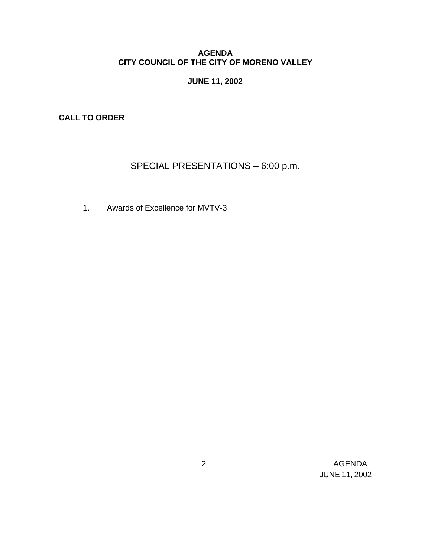## **AGENDA CITY COUNCIL OF THE CITY OF MORENO VALLEY**

# **JUNE 11, 2002**

**CALL TO ORDER**

# SPECIAL PRESENTATIONS – 6:00 p.m.

1. Awards of Excellence for MVTV-3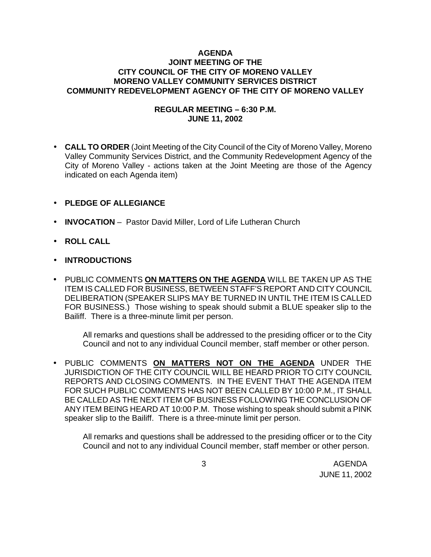## **AGENDA JOINT MEETING OF THE CITY COUNCIL OF THE CITY OF MORENO VALLEY MORENO VALLEY COMMUNITY SERVICES DISTRICT COMMUNITY REDEVELOPMENT AGENCY OF THE CITY OF MORENO VALLEY**

## **REGULAR MEETING – 6:30 P.M. JUNE 11, 2002**

• **CALL TO ORDER** (Joint Meeting of the City Council of the City of Moreno Valley, Moreno Valley Community Services District, and the Community Redevelopment Agency of the City of Moreno Valley - actions taken at the Joint Meeting are those of the Agency indicated on each Agenda item)

## • **PLEDGE OF ALLEGIANCE**

- **INVOCATION** Pastor David Miller, Lord of Life Lutheran Church
- **ROLL CALL**
- **INTRODUCTIONS**
- PUBLIC COMMENTS **ON MATTERS ON THE AGENDA** WILL BE TAKEN UP AS THE ITEM IS CALLED FOR BUSINESS, BETWEEN STAFF'S REPORT AND CITY COUNCIL DELIBERATION (SPEAKER SLIPS MAY BE TURNED IN UNTIL THE ITEM IS CALLED FOR BUSINESS.) Those wishing to speak should submit a BLUE speaker slip to the Bailiff. There is a three-minute limit per person.

All remarks and questions shall be addressed to the presiding officer or to the City Council and not to any individual Council member, staff member or other person.

• PUBLIC COMMENTS **ON MATTERS NOT ON THE AGENDA** UNDER THE JURISDICTION OF THE CITY COUNCIL WILL BE HEARD PRIOR TO CITY COUNCIL REPORTS AND CLOSING COMMENTS. IN THE EVENT THAT THE AGENDA ITEM FOR SUCH PUBLIC COMMENTS HAS NOT BEEN CALLED BY 10:00 P.M., IT SHALL BE CALLED AS THE NEXT ITEM OF BUSINESS FOLLOWING THE CONCLUSION OF ANY ITEM BEING HEARD AT 10:00 P.M. Those wishing to speak should submit a PINK speaker slip to the Bailiff. There is a three-minute limit per person.

All remarks and questions shall be addressed to the presiding officer or to the City Council and not to any individual Council member, staff member or other person.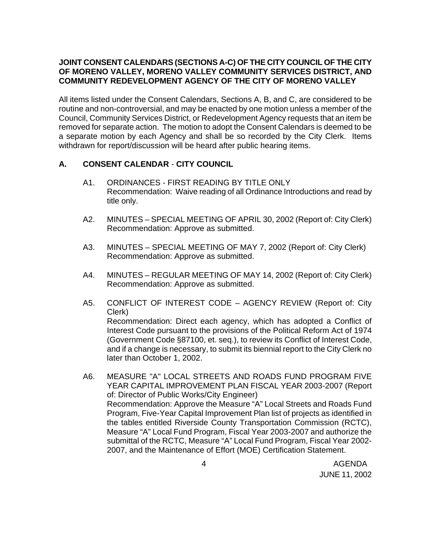# **JOINT CONSENT CALENDARS (SECTIONS A-C) OF THE CITY COUNCIL OF THE CITY OF MORENO VALLEY, MORENO VALLEY COMMUNITY SERVICES DISTRICT, AND COMMUNITY REDEVELOPMENT AGENCY OF THE CITY OF MORENO VALLEY**

All items listed under the Consent Calendars, Sections A, B, and C, are considered to be routine and non-controversial, and may be enacted by one motion unless a member of the Council, Community Services District, or Redevelopment Agency requests that an item be removed for separate action. The motion to adopt the Consent Calendars is deemed to be a separate motion by each Agency and shall be so recorded by the City Clerk. Items withdrawn for report/discussion will be heard after public hearing items.

## **A. CONSENT CALENDAR** - **CITY COUNCIL**

- A1. ORDINANCES FIRST READING BY TITLE ONLY Recommendation: Waive reading of all Ordinance Introductions and read by title only.
- A2. MINUTES SPECIAL MEETING OF APRIL 30, 2002 (Report of: City Clerk) Recommendation: Approve as submitted.
- A3. MINUTES SPECIAL MEETING OF MAY 7, 2002 (Report of: City Clerk) Recommendation: Approve as submitted.
- A4. MINUTES REGULAR MEETING OF MAY 14, 2002 (Report of: City Clerk) Recommendation: Approve as submitted.
- A5. CONFLICT OF INTEREST CODE AGENCY REVIEW (Report of: City Clerk) Recommendation: Direct each agency, which has adopted a Conflict of Interest Code pursuant to the provisions of the Political Reform Act of 1974 (Government Code §87100, et. seq.), to review its Conflict of Interest Code, and if a change is necessary, to submit its biennial report to the City Clerk no later than October 1, 2002.
- A6. MEASURE "A" LOCAL STREETS AND ROADS FUND PROGRAM FIVE YEAR CAPITAL IMPROVEMENT PLAN FISCAL YEAR 2003-2007 (Report of: Director of Public Works/City Engineer) Recommendation: Approve the Measure "A" Local Streets and Roads Fund Program, Five-Year Capital Improvement Plan list of projects as identified in the tables entitled Riverside County Transportation Commission (RCTC), Measure "A" Local Fund Program, Fiscal Year 2003-2007 and authorize the submittal of the RCTC, Measure "A" Local Fund Program, Fiscal Year 2002- 2007, and the Maintenance of Effort (MOE) Certification Statement.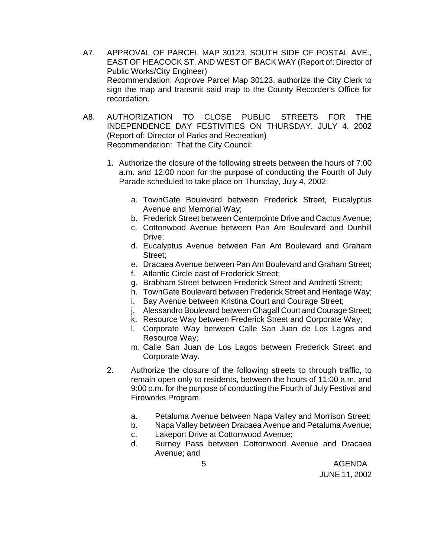- A7. APPROVAL OF PARCEL MAP 30123, SOUTH SIDE OF POSTAL AVE., EAST OF HEACOCK ST. AND WEST OF BACK WAY (Report of: Director of Public Works/City Engineer) Recommendation: Approve Parcel Map 30123, authorize the City Clerk to sign the map and transmit said map to the County Recorder's Office for recordation.
- A8. AUTHORIZATION TO CLOSE PUBLIC STREETS FOR THE INDEPENDENCE DAY FESTIVITIES ON THURSDAY, JULY 4, 2002 (Report of: Director of Parks and Recreation) Recommendation: That the City Council:
	- 1. Authorize the closure of the following streets between the hours of 7:00 a.m. and 12:00 noon for the purpose of conducting the Fourth of July Parade scheduled to take place on Thursday, July 4, 2002:
		- a. TownGate Boulevard between Frederick Street, Eucalyptus Avenue and Memorial Way;
		- b. Frederick Street between Centerpointe Drive and Cactus Avenue;
		- c. Cottonwood Avenue between Pan Am Boulevard and Dunhill Drive;
		- d. Eucalyptus Avenue between Pan Am Boulevard and Graham Street;
		- e. Dracaea Avenue between Pan Am Boulevard and Graham Street;
		- f. Atlantic Circle east of Frederick Street;
		- g. Brabham Street between Frederick Street and Andretti Street;
		- h. TownGate Boulevard between Frederick Street and Heritage Way;
		- i. Bay Avenue between Kristina Court and Courage Street;
		- j. Alessandro Boulevard between Chagall Court and Courage Street;
		- k. Resource Way between Frederick Street and Corporate Way;
		- l. Corporate Way between Calle San Juan de Los Lagos and Resource Way;
		- m. Calle San Juan de Los Lagos between Frederick Street and Corporate Way.
	- 2. Authorize the closure of the following streets to through traffic, to remain open only to residents, between the hours of 11:00 a.m. and 9:00 p.m. for the purpose of conducting the Fourth of July Festival and Fireworks Program.
		- a. Petaluma Avenue between Napa Valley and Morrison Street;
		- b. Napa Valley between Dracaea Avenue and Petaluma Avenue;
		- c. Lakeport Drive at Cottonwood Avenue;
		- d. Burney Pass between Cottonwood Avenue and Dracaea Avenue; and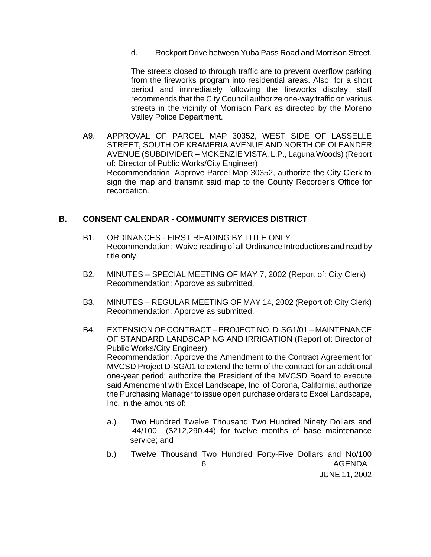d. Rockport Drive between Yuba Pass Road and Morrison Street.

The streets closed to through traffic are to prevent overflow parking from the fireworks program into residential areas. Also, for a short period and immediately following the fireworks display, staff recommends that the City Council authorize one-way traffic on various streets in the vicinity of Morrison Park as directed by the Moreno Valley Police Department.

A9. APPROVAL OF PARCEL MAP 30352, WEST SIDE OF LASSELLE STREET, SOUTH OF KRAMERIA AVENUE AND NORTH OF OLEANDER AVENUE (SUBDIVIDER – MCKENZIE VISTA, L.P., Laguna Woods) (Report of: Director of Public Works/City Engineer) Recommendation: Approve Parcel Map 30352, authorize the City Clerk to sign the map and transmit said map to the County Recorder's Office for recordation.

#### **B. CONSENT CALENDAR** - **COMMUNITY SERVICES DISTRICT**

- B1. ORDINANCES FIRST READING BY TITLE ONLY Recommendation: Waive reading of all Ordinance Introductions and read by title only.
- B2. MINUTES SPECIAL MEETING OF MAY 7, 2002 (Report of: City Clerk) Recommendation: Approve as submitted.
- B3. MINUTES REGULAR MEETING OF MAY 14, 2002 (Report of: City Clerk) Recommendation: Approve as submitted.
- B4. EXTENSION OF CONTRACT PROJECT NO. D-SG1/01 MAINTENANCE OF STANDARD LANDSCAPING AND IRRIGATION (Report of: Director of Public Works/City Engineer) Recommendation: Approve the Amendment to the Contract Agreement for MVCSD Project D-SG/01 to extend the term of the contract for an additional one-year period; authorize the President of the MVCSD Board to execute said Amendment with Excel Landscape, Inc. of Corona, California; authorize the Purchasing Manager to issue open purchase orders to Excel Landscape, Inc. in the amounts of:
	- a.) Two Hundred Twelve Thousand Two Hundred Ninety Dollars and 44/100 (\$212,290.44) for twelve months of base maintenance service; and
- 6 AGENDA b.) Twelve Thousand Two Hundred Forty-Five Dollars and No/100

JUNE 11, 2002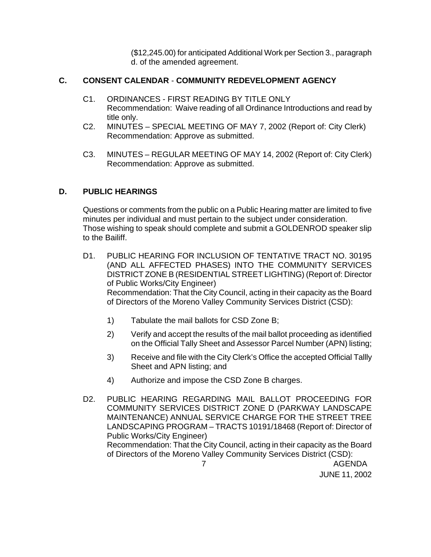(\$12,245.00) for anticipated Additional Work per Section 3., paragraph d. of the amended agreement.

# **C. CONSENT CALENDAR** - **COMMUNITY REDEVELOPMENT AGENCY**

- C1. ORDINANCES FIRST READING BY TITLE ONLY Recommendation: Waive reading of all Ordinance Introductions and read by title only.
- C2. MINUTES SPECIAL MEETING OF MAY 7, 2002 (Report of: City Clerk) Recommendation: Approve as submitted.
- C3. MINUTES REGULAR MEETING OF MAY 14, 2002 (Report of: City Clerk) Recommendation: Approve as submitted.

# **D. PUBLIC HEARINGS**

Questions or comments from the public on a Public Hearing matter are limited to five minutes per individual and must pertain to the subject under consideration. Those wishing to speak should complete and submit a GOLDENROD speaker slip to the Bailiff.

- D1. PUBLIC HEARING FOR INCLUSION OF TENTATIVE TRACT NO. 30195 (AND ALL AFFECTED PHASES) INTO THE COMMUNITY SERVICES DISTRICT ZONE B (RESIDENTIAL STREET LIGHTING) (Report of: Director of Public Works/City Engineer) Recommendation: That the City Council, acting in their capacity as the Board of Directors of the Moreno Valley Community Services District (CSD):
	- 1) Tabulate the mail ballots for CSD Zone B;
	- 2) Verify and accept the results of the mail ballot proceeding as identified on the Official Tally Sheet and Assessor Parcel Number (APN) listing;
	- 3) Receive and file with the City Clerk's Office the accepted Official Tallly Sheet and APN listing; and
	- 4) Authorize and impose the CSD Zone B charges.

D2. PUBLIC HEARING REGARDING MAIL BALLOT PROCEEDING FOR COMMUNITY SERVICES DISTRICT ZONE D (PARKWAY LANDSCAPE MAINTENANCE) ANNUAL SERVICE CHARGE FOR THE STREET TREE LANDSCAPING PROGRAM – TRACTS 10191/18468 (Report of: Director of Public Works/City Engineer) Recommendation: That the City Council, acting in their capacity as the Board of Directors of the Moreno Valley Community Services District (CSD):

7 AGENDA

JUNE 11, 2002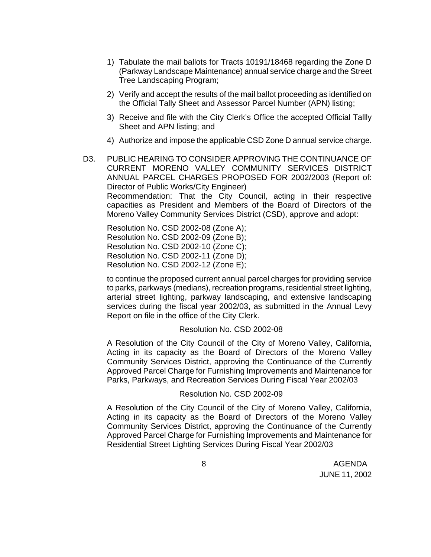- 1) Tabulate the mail ballots for Tracts 10191/18468 regarding the Zone D (Parkway Landscape Maintenance) annual service charge and the Street Tree Landscaping Program;
- 2) Verify and accept the results of the mail ballot proceeding as identified on the Official Tally Sheet and Assessor Parcel Number (APN) listing;
- 3) Receive and file with the City Clerk's Office the accepted Official Tallly Sheet and APN listing; and
- 4) Authorize and impose the applicable CSD Zone D annual service charge.
- D3. PUBLIC HEARING TO CONSIDER APPROVING THE CONTINUANCE OF CURRENT MORENO VALLEY COMMUNITY SERVICES DISTRICT ANNUAL PARCEL CHARGES PROPOSED FOR 2002/2003 (Report of: Director of Public Works/City Engineer) Recommendation: That the City Council, acting in their respective capacities as President and Members of the Board of Directors of the Moreno Valley Community Services District (CSD), approve and adopt:

Resolution No. CSD 2002-08 (Zone A); Resolution No. CSD 2002-09 (Zone B); Resolution No. CSD 2002-10 (Zone C); Resolution No. CSD 2002-11 (Zone D); Resolution No. CSD 2002-12 (Zone E);

to continue the proposed current annual parcel charges for providing service to parks, parkways (medians), recreation programs, residential street lighting, arterial street lighting, parkway landscaping, and extensive landscaping services during the fiscal year 2002/03, as submitted in the Annual Levy Report on file in the office of the City Clerk.

#### Resolution No. CSD 2002-08

A Resolution of the City Council of the City of Moreno Valley, California, Acting in its capacity as the Board of Directors of the Moreno Valley Community Services District, approving the Continuance of the Currently Approved Parcel Charge for Furnishing Improvements and Maintenance for Parks, Parkways, and Recreation Services During Fiscal Year 2002/03

#### Resolution No. CSD 2002-09

A Resolution of the City Council of the City of Moreno Valley, California, Acting in its capacity as the Board of Directors of the Moreno Valley Community Services District, approving the Continuance of the Currently Approved Parcel Charge for Furnishing Improvements and Maintenance for Residential Street Lighting Services During Fiscal Year 2002/03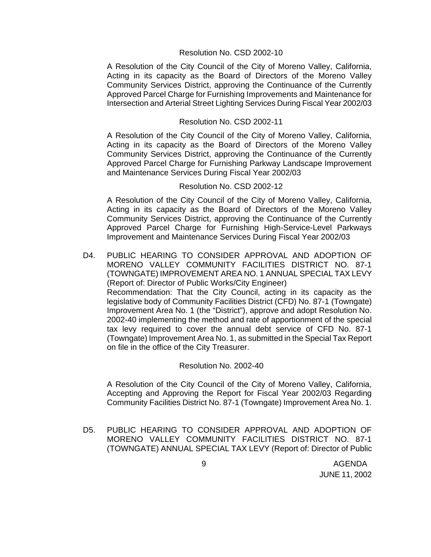#### Resolution No. CSD 2002-10

A Resolution of the City Council of the City of Moreno Valley, California, Acting in its capacity as the Board of Directors of the Moreno Valley Community Services District, approving the Continuance of the Currently Approved Parcel Charge for Furnishing Improvements and Maintenance for Intersection and Arterial Street Lighting Services During Fiscal Year 2002/03

### Resolution No. CSD 2002-11

A Resolution of the City Council of the City of Moreno Valley, California, Acting in its capacity as the Board of Directors of the Moreno Valley Community Services District, approving the Continuance of the Currently Approved Parcel Charge for Furnishing Parkway Landscape Improvement and Maintenance Services During Fiscal Year 2002/03

#### Resolution No. CSD 2002-12

A Resolution of the City Council of the City of Moreno Valley, California, Acting in its capacity as the Board of Directors of the Moreno Valley Community Services District, approving the Continuance of the Currently Approved Parcel Charge for Furnishing High-Service-Level Parkways Improvement and Maintenance Services During Fiscal Year 2002/03

D4. PUBLIC HEARING TO CONSIDER APPROVAL AND ADOPTION OF MORENO VALLEY COMMUNITY FACILITIES DISTRICT NO. 87-1 (TOWNGATE) IMPROVEMENT AREA NO. 1 ANNUAL SPECIAL TAX LEVY (Report of: Director of Public Works/City Engineer) Recommendation: That the City Council, acting in its capacity as the legislative body of Community Facilities District (CFD) No. 87-1 (Towngate) Improvement Area No. 1 (the "District"), approve and adopt Resolution No. 2002-40 implementing the method and rate of apportionment of the special tax levy required to cover the annual debt service of CFD No. 87-1 (Towngate) Improvement Area No. 1, as submitted in the Special Tax Report on file in the office of the City Treasurer.

#### Resolution No. 2002-40

A Resolution of the City Council of the City of Moreno Valley, California, Accepting and Approving the Report for Fiscal Year 2002/03 Regarding Community Facilities District No. 87-1 (Towngate) Improvement Area No. 1.

D5. PUBLIC HEARING TO CONSIDER APPROVAL AND ADOPTION OF MORENO VALLEY COMMUNITY FACILITIES DISTRICT NO. 87-1 (TOWNGATE) ANNUAL SPECIAL TAX LEVY (Report of: Director of Public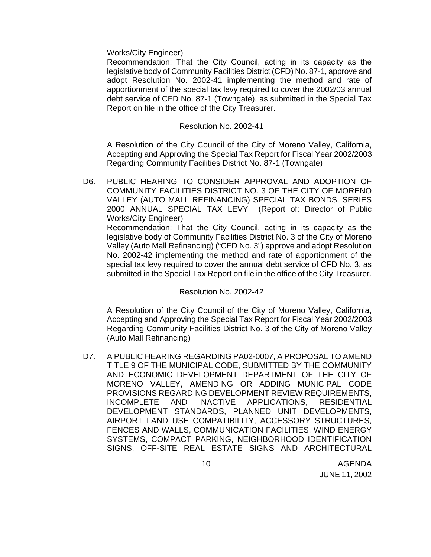Works/City Engineer)

Recommendation: That the City Council, acting in its capacity as the legislative body of Community Facilities District (CFD) No. 87-1, approve and adopt Resolution No. 2002-41 implementing the method and rate of apportionment of the special tax levy required to cover the 2002/03 annual debt service of CFD No. 87-1 (Towngate), as submitted in the Special Tax Report on file in the office of the City Treasurer.

### Resolution No. 2002-41

A Resolution of the City Council of the City of Moreno Valley, California, Accepting and Approving the Special Tax Report for Fiscal Year 2002/2003 Regarding Community Facilities District No. 87-1 (Towngate)

D6. PUBLIC HEARING TO CONSIDER APPROVAL AND ADOPTION OF COMMUNITY FACILITIES DISTRICT NO. 3 OF THE CITY OF MORENO VALLEY (AUTO MALL REFINANCING) SPECIAL TAX BONDS, SERIES 2000 ANNUAL SPECIAL TAX LEVY(Report of: Director of Public Works/City Engineer) Recommendation: That the City Council, acting in its capacity as the legislative body of Community Facilities District No. 3 of the City of Moreno Valley (Auto Mall Refinancing) ("CFD No. 3") approve and adopt Resolution No. 2002-42 implementing the method and rate of apportionment of the special tax levy required to cover the annual debt service of CFD No. 3, as

#### Resolution No. 2002-42

A Resolution of the City Council of the City of Moreno Valley, California, Accepting and Approving the Special Tax Report for Fiscal Year 2002/2003 Regarding Community Facilities District No. 3 of the City of Moreno Valley (Auto Mall Refinancing)

submitted in the Special Tax Report on file in the office of the City Treasurer.

D7. A PUBLIC HEARING REGARDING PA02-0007, A PROPOSAL TO AMEND TITLE 9 OF THE MUNICIPAL CODE, SUBMITTED BY THE COMMUNITY AND ECONOMIC DEVELOPMENT DEPARTMENT OF THE CITY OF MORENO VALLEY, AMENDING OR ADDING MUNICIPAL CODE PROVISIONS REGARDING DEVELOPMENT REVIEW REQUIREMENTS, INCOMPLETE AND INACTIVE APPLICATIONS, RESIDENTIAL DEVELOPMENT STANDARDS, PLANNED UNIT DEVELOPMENTS, AIRPORT LAND USE COMPATIBILITY, ACCESSORY STRUCTURES, FENCES AND WALLS, COMMUNICATION FACILITIES, WIND ENERGY SYSTEMS, COMPACT PARKING, NEIGHBORHOOD IDENTIFICATION SIGNS, OFF-SITE REAL ESTATE SIGNS AND ARCHITECTURAL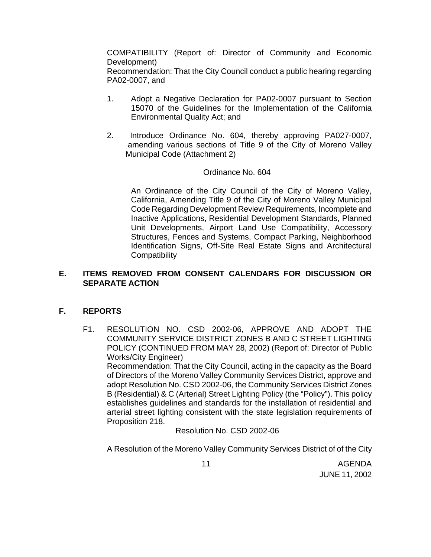COMPATIBILITY (Report of: Director of Community and Economic Development)

Recommendation: That the City Council conduct a public hearing regarding PA02-0007, and

- 1. Adopt a Negative Declaration for PA02-0007 pursuant to Section 15070 of the Guidelines for the Implementation of the California Environmental Quality Act; and
- 2. Introduce Ordinance No. 604, thereby approving PA027-0007, amending various sections of Title 9 of the City of Moreno Valley Municipal Code (Attachment 2)

## Ordinance No. 604

An Ordinance of the City Council of the City of Moreno Valley, California, Amending Title 9 of the City of Moreno Valley Municipal Code Regarding Development Review Requirements, Incomplete and Inactive Applications, Residential Development Standards, Planned Unit Developments, Airport Land Use Compatibility, Accessory Structures, Fences and Systems, Compact Parking, Neighborhood Identification Signs, Off-Site Real Estate Signs and Architectural **Compatibility** 

## **E. ITEMS REMOVED FROM CONSENT CALENDARS FOR DISCUSSION OR SEPARATE ACTION**

## **F. REPORTS**

F1. RESOLUTION NO. CSD 2002-06, APPROVE AND ADOPT THE COMMUNITY SERVICE DISTRICT ZONES B AND C STREET LIGHTING POLICY (CONTINUED FROM MAY 28, 2002) (Report of: Director of Public Works/City Engineer)

Recommendation: That the City Council, acting in the capacity as the Board of Directors of the Moreno Valley Community Services District, approve and adopt Resolution No. CSD 2002-06, the Community Services District Zones B (Residential) & C (Arterial) Street Lighting Policy (the "Policy"). This policy establishes guidelines and standards for the installation of residential and arterial street lighting consistent with the state legislation requirements of Proposition 218.

Resolution No. CSD 2002-06

A Resolution of the Moreno Valley Community Services District of of the City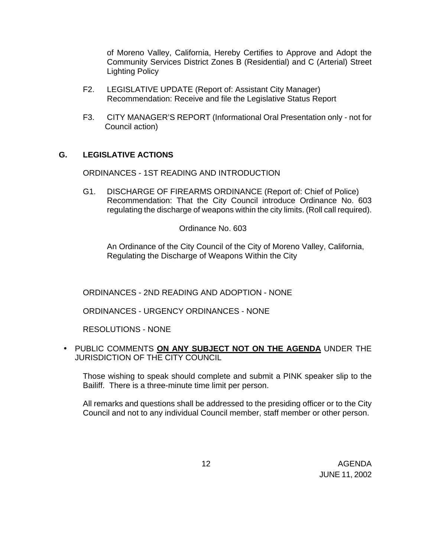of Moreno Valley, California, Hereby Certifies to Approve and Adopt the Community Services District Zones B (Residential) and C (Arterial) Street Lighting Policy

- F2. LEGISLATIVE UPDATE (Report of: Assistant City Manager) Recommendation: Receive and file the Legislative Status Report
- F3. CITY MANAGER'S REPORT (Informational Oral Presentation only not for Council action)

## **G. LEGISLATIVE ACTIONS**

ORDINANCES - 1ST READING AND INTRODUCTION

G1. DISCHARGE OF FIREARMS ORDINANCE (Report of: Chief of Police) Recommendation: That the City Council introduce Ordinance No. 603 regulating the discharge of weapons within the city limits. (Roll call required).

Ordinance No. 603

An Ordinance of the City Council of the City of Moreno Valley, California, Regulating the Discharge of Weapons Within the City

ORDINANCES - 2ND READING AND ADOPTION - NONE

ORDINANCES - URGENCY ORDINANCES - NONE

RESOLUTIONS - NONE

• PUBLIC COMMENTS **ON ANY SUBJECT NOT ON THE AGENDA** UNDER THE JURISDICTION OF THE CITY COUNCIL

Those wishing to speak should complete and submit a PINK speaker slip to the Bailiff. There is a three-minute time limit per person.

All remarks and questions shall be addressed to the presiding officer or to the City Council and not to any individual Council member, staff member or other person.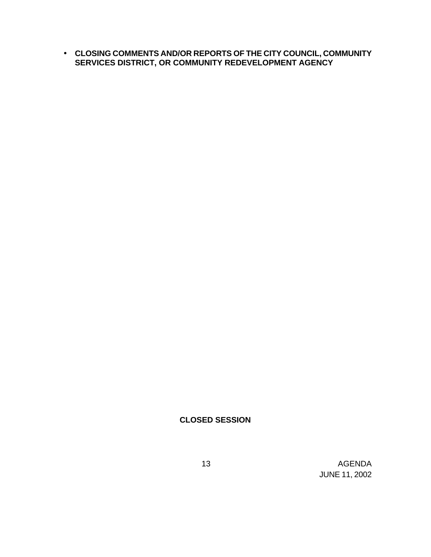• **CLOSING COMMENTS AND/OR REPORTS OF THE CITY COUNCIL, COMMUNITY SERVICES DISTRICT, OR COMMUNITY REDEVELOPMENT AGENCY**

## **CLOSED SESSION**